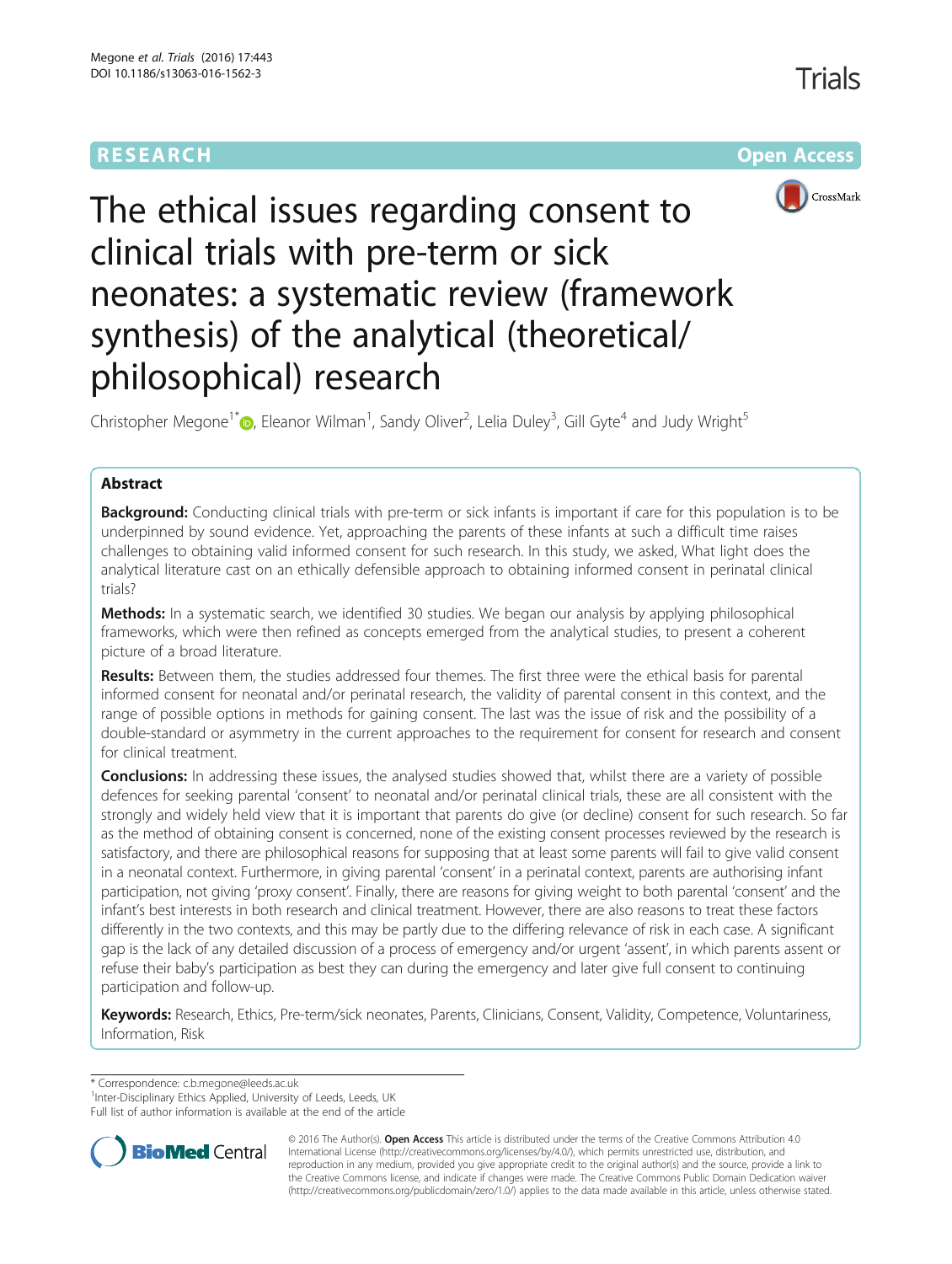## **RESEARCH CHEAR CHEAR CHEAR CHEAR CHEAR CHEAR CHEAR CHEAR CHEAR CHEAR CHEAR CHEAR CHEAR CHEAR CHEAR CHEAR CHEAR**



# The ethical issues regarding consent to clinical trials with pre-term or sick neonates: a systematic review (framework synthesis) of the analytical (theoretical/ philosophical) research

Christopher Megone<sup>1\*</sup> D[,](http://orcid.org/0000-0002-4598-1055) Eleanor Wilman<sup>1</sup>, Sandy Oliver<sup>2</sup>, Lelia Duley<sup>3</sup>, Gill Gyte<sup>4</sup> and Judy Wright<sup>5</sup>

## Abstract

Background: Conducting clinical trials with pre-term or sick infants is important if care for this population is to be underpinned by sound evidence. Yet, approaching the parents of these infants at such a difficult time raises challenges to obtaining valid informed consent for such research. In this study, we asked, What light does the analytical literature cast on an ethically defensible approach to obtaining informed consent in perinatal clinical trials?

**Methods:** In a systematic search, we identified 30 studies. We began our analysis by applying philosophical frameworks, which were then refined as concepts emerged from the analytical studies, to present a coherent picture of a broad literature.

Results: Between them, the studies addressed four themes. The first three were the ethical basis for parental informed consent for neonatal and/or perinatal research, the validity of parental consent in this context, and the range of possible options in methods for gaining consent. The last was the issue of risk and the possibility of a double-standard or asymmetry in the current approaches to the requirement for consent for research and consent for clinical treatment.

**Conclusions:** In addressing these issues, the analysed studies showed that, whilst there are a variety of possible defences for seeking parental 'consent' to neonatal and/or perinatal clinical trials, these are all consistent with the strongly and widely held view that it is important that parents do give (or decline) consent for such research. So far as the method of obtaining consent is concerned, none of the existing consent processes reviewed by the research is satisfactory, and there are philosophical reasons for supposing that at least some parents will fail to give valid consent in a neonatal context. Furthermore, in giving parental 'consent' in a perinatal context, parents are authorising infant participation, not giving 'proxy consent'. Finally, there are reasons for giving weight to both parental 'consent' and the infant's best interests in both research and clinical treatment. However, there are also reasons to treat these factors differently in the two contexts, and this may be partly due to the differing relevance of risk in each case. A significant gap is the lack of any detailed discussion of a process of emergency and/or urgent 'assent', in which parents assent or refuse their baby's participation as best they can during the emergency and later give full consent to continuing participation and follow-up.

Keywords: Research, Ethics, Pre-term/sick neonates, Parents, Clinicians, Consent, Validity, Competence, Voluntariness, Information, Risk

\* Correspondence: [c.b.megone@leeds.ac.uk](mailto:c.b.megone@leeds.ac.uk) <sup>1</sup>

<sup>1</sup>Inter-Disciplinary Ethics Applied, University of Leeds, Leeds, UK

Full list of author information is available at the end of the article



© 2016 The Author(s). Open Access This article is distributed under the terms of the Creative Commons Attribution 4.0 International License [\(http://creativecommons.org/licenses/by/4.0/](http://creativecommons.org/licenses/by/4.0/)), which permits unrestricted use, distribution, and reproduction in any medium, provided you give appropriate credit to the original author(s) and the source, provide a link to the Creative Commons license, and indicate if changes were made. The Creative Commons Public Domain Dedication waiver [\(http://creativecommons.org/publicdomain/zero/1.0/](http://creativecommons.org/publicdomain/zero/1.0/)) applies to the data made available in this article, unless otherwise stated.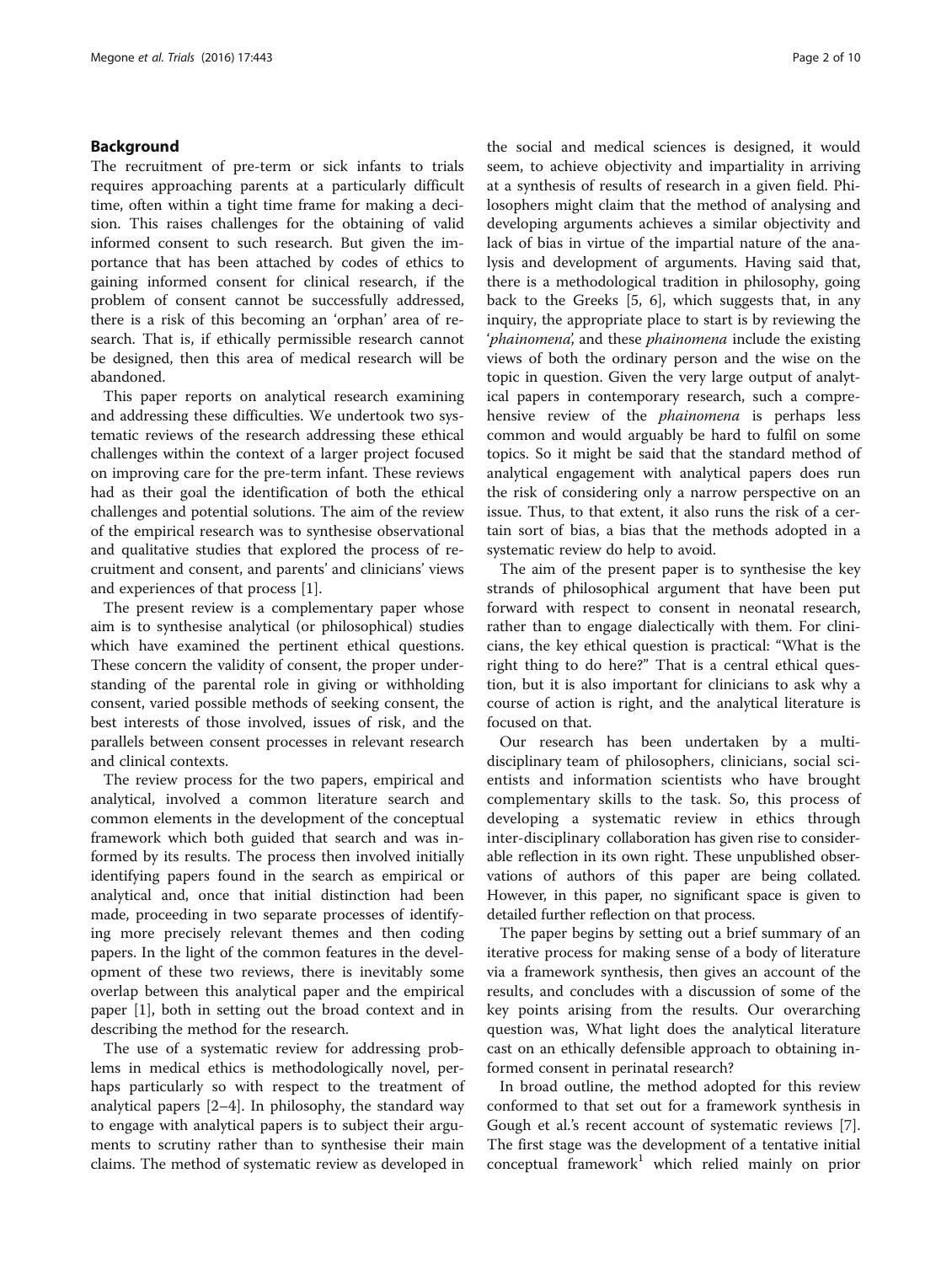#### Background

The recruitment of pre-term or sick infants to trials requires approaching parents at a particularly difficult time, often within a tight time frame for making a decision. This raises challenges for the obtaining of valid informed consent to such research. But given the importance that has been attached by codes of ethics to gaining informed consent for clinical research, if the problem of consent cannot be successfully addressed, there is a risk of this becoming an 'orphan' area of research. That is, if ethically permissible research cannot be designed, then this area of medical research will be abandoned.

This paper reports on analytical research examining and addressing these difficulties. We undertook two systematic reviews of the research addressing these ethical challenges within the context of a larger project focused on improving care for the pre-term infant. These reviews had as their goal the identification of both the ethical challenges and potential solutions. The aim of the review of the empirical research was to synthesise observational and qualitative studies that explored the process of recruitment and consent, and parents' and clinicians' views and experiences of that process [\[1](#page-9-0)].

The present review is a complementary paper whose aim is to synthesise analytical (or philosophical) studies which have examined the pertinent ethical questions. These concern the validity of consent, the proper understanding of the parental role in giving or withholding consent, varied possible methods of seeking consent, the best interests of those involved, issues of risk, and the parallels between consent processes in relevant research and clinical contexts.

The review process for the two papers, empirical and analytical, involved a common literature search and common elements in the development of the conceptual framework which both guided that search and was informed by its results. The process then involved initially identifying papers found in the search as empirical or analytical and, once that initial distinction had been made, proceeding in two separate processes of identifying more precisely relevant themes and then coding papers. In the light of the common features in the development of these two reviews, there is inevitably some overlap between this analytical paper and the empirical paper [[1\]](#page-9-0), both in setting out the broad context and in describing the method for the research.

The use of a systematic review for addressing problems in medical ethics is methodologically novel, perhaps particularly so with respect to the treatment of analytical papers [\[2](#page-9-0)–[4\]](#page-9-0). In philosophy, the standard way to engage with analytical papers is to subject their arguments to scrutiny rather than to synthesise their main claims. The method of systematic review as developed in

the social and medical sciences is designed, it would seem, to achieve objectivity and impartiality in arriving at a synthesis of results of research in a given field. Philosophers might claim that the method of analysing and developing arguments achieves a similar objectivity and lack of bias in virtue of the impartial nature of the analysis and development of arguments. Having said that, there is a methodological tradition in philosophy, going back to the Greeks [[5, 6](#page-9-0)], which suggests that, in any inquiry, the appropriate place to start is by reviewing the 'phainomena', and these phainomena include the existing views of both the ordinary person and the wise on the topic in question. Given the very large output of analytical papers in contemporary research, such a comprehensive review of the phainomena is perhaps less common and would arguably be hard to fulfil on some topics. So it might be said that the standard method of analytical engagement with analytical papers does run the risk of considering only a narrow perspective on an issue. Thus, to that extent, it also runs the risk of a certain sort of bias, a bias that the methods adopted in a systematic review do help to avoid.

The aim of the present paper is to synthesise the key strands of philosophical argument that have been put forward with respect to consent in neonatal research, rather than to engage dialectically with them. For clinicians, the key ethical question is practical: "What is the right thing to do here?" That is a central ethical question, but it is also important for clinicians to ask why a course of action is right, and the analytical literature is focused on that.

Our research has been undertaken by a multidisciplinary team of philosophers, clinicians, social scientists and information scientists who have brought complementary skills to the task. So, this process of developing a systematic review in ethics through inter-disciplinary collaboration has given rise to considerable reflection in its own right. These unpublished observations of authors of this paper are being collated. However, in this paper, no significant space is given to detailed further reflection on that process.

The paper begins by setting out a brief summary of an iterative process for making sense of a body of literature via a framework synthesis, then gives an account of the results, and concludes with a discussion of some of the key points arising from the results. Our overarching question was, What light does the analytical literature cast on an ethically defensible approach to obtaining informed consent in perinatal research?

In broad outline, the method adopted for this review conformed to that set out for a framework synthesis in Gough et al.'s recent account of systematic reviews [\[7](#page-9-0)]. The first stage was the development of a tentative initial conceptual framework<sup>1</sup> which relied mainly on prior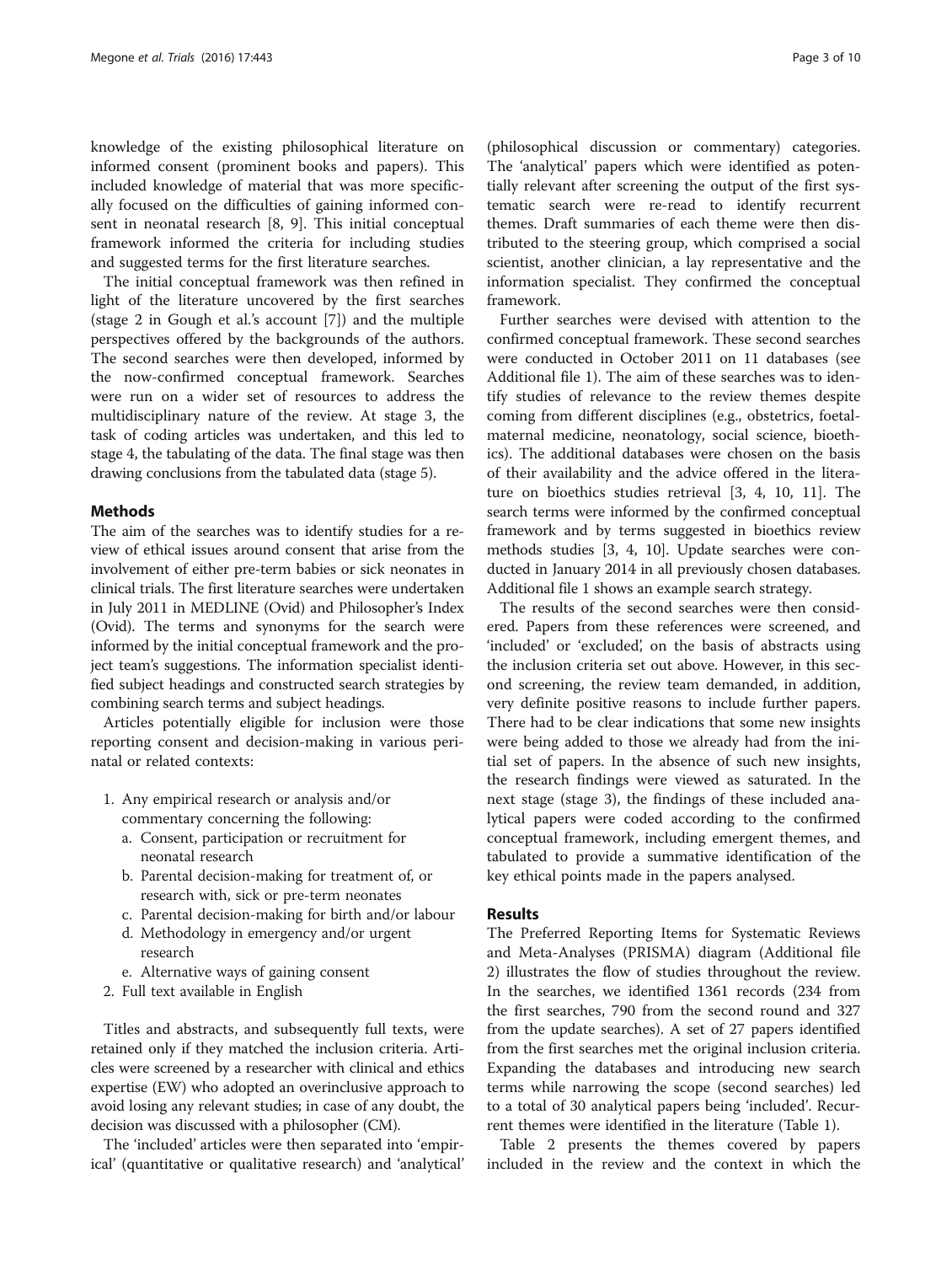knowledge of the existing philosophical literature on informed consent (prominent books and papers). This included knowledge of material that was more specifically focused on the difficulties of gaining informed consent in neonatal research [[8](#page-9-0), [9\]](#page-9-0). This initial conceptual framework informed the criteria for including studies and suggested terms for the first literature searches.

The initial conceptual framework was then refined in light of the literature uncovered by the first searches (stage 2 in Gough et al.'s account [[7\]](#page-9-0)) and the multiple perspectives offered by the backgrounds of the authors. The second searches were then developed, informed by the now-confirmed conceptual framework. Searches were run on a wider set of resources to address the multidisciplinary nature of the review. At stage 3, the task of coding articles was undertaken, and this led to stage 4, the tabulating of the data. The final stage was then drawing conclusions from the tabulated data (stage 5).

#### **Methods**

The aim of the searches was to identify studies for a review of ethical issues around consent that arise from the involvement of either pre-term babies or sick neonates in clinical trials. The first literature searches were undertaken in July 2011 in MEDLINE (Ovid) and Philosopher's Index (Ovid). The terms and synonyms for the search were informed by the initial conceptual framework and the project team's suggestions. The information specialist identified subject headings and constructed search strategies by combining search terms and subject headings.

Articles potentially eligible for inclusion were those reporting consent and decision-making in various perinatal or related contexts:

- 1. Any empirical research or analysis and/or commentary concerning the following:
	- a. Consent, participation or recruitment for neonatal research
	- b. Parental decision-making for treatment of, or research with, sick or pre-term neonates
	- c. Parental decision-making for birth and/or labour
	- d. Methodology in emergency and/or urgent research
	- e. Alternative ways of gaining consent
- 2. Full text available in English

Titles and abstracts, and subsequently full texts, were retained only if they matched the inclusion criteria. Articles were screened by a researcher with clinical and ethics expertise (EW) who adopted an overinclusive approach to avoid losing any relevant studies; in case of any doubt, the decision was discussed with a philosopher (CM).

The 'included' articles were then separated into 'empirical' (quantitative or qualitative research) and 'analytical'

(philosophical discussion or commentary) categories. The 'analytical' papers which were identified as potentially relevant after screening the output of the first systematic search were re-read to identify recurrent themes. Draft summaries of each theme were then distributed to the steering group, which comprised a social scientist, another clinician, a lay representative and the information specialist. They confirmed the conceptual framework.

Further searches were devised with attention to the confirmed conceptual framework. These second searches were conducted in October 2011 on 11 databases (see Additional file [1\)](#page-8-0). The aim of these searches was to identify studies of relevance to the review themes despite coming from different disciplines (e.g., obstetrics, foetalmaternal medicine, neonatology, social science, bioethics). The additional databases were chosen on the basis of their availability and the advice offered in the literature on bioethics studies retrieval [[3, 4](#page-9-0), [10](#page-9-0), [11\]](#page-9-0). The search terms were informed by the confirmed conceptual framework and by terms suggested in bioethics review methods studies [\[3, 4, 10\]](#page-9-0). Update searches were conducted in January 2014 in all previously chosen databases. Additional file [1](#page-8-0) shows an example search strategy.

The results of the second searches were then considered. Papers from these references were screened, and 'included' or 'excluded', on the basis of abstracts using the inclusion criteria set out above. However, in this second screening, the review team demanded, in addition, very definite positive reasons to include further papers. There had to be clear indications that some new insights were being added to those we already had from the initial set of papers. In the absence of such new insights, the research findings were viewed as saturated. In the next stage (stage 3), the findings of these included analytical papers were coded according to the confirmed conceptual framework, including emergent themes, and tabulated to provide a summative identification of the key ethical points made in the papers analysed.

#### Results

The Preferred Reporting Items for Systematic Reviews and Meta-Analyses (PRISMA) diagram (Additional file [2\)](#page-8-0) illustrates the flow of studies throughout the review. In the searches, we identified 1361 records (234 from the first searches, 790 from the second round and 327 from the update searches). A set of 27 papers identified from the first searches met the original inclusion criteria. Expanding the databases and introducing new search terms while narrowing the scope (second searches) led to a total of 30 analytical papers being 'included'. Recurrent themes were identified in the literature (Table [1](#page-3-0)).

Table [2](#page-4-0) presents the themes covered by papers included in the review and the context in which the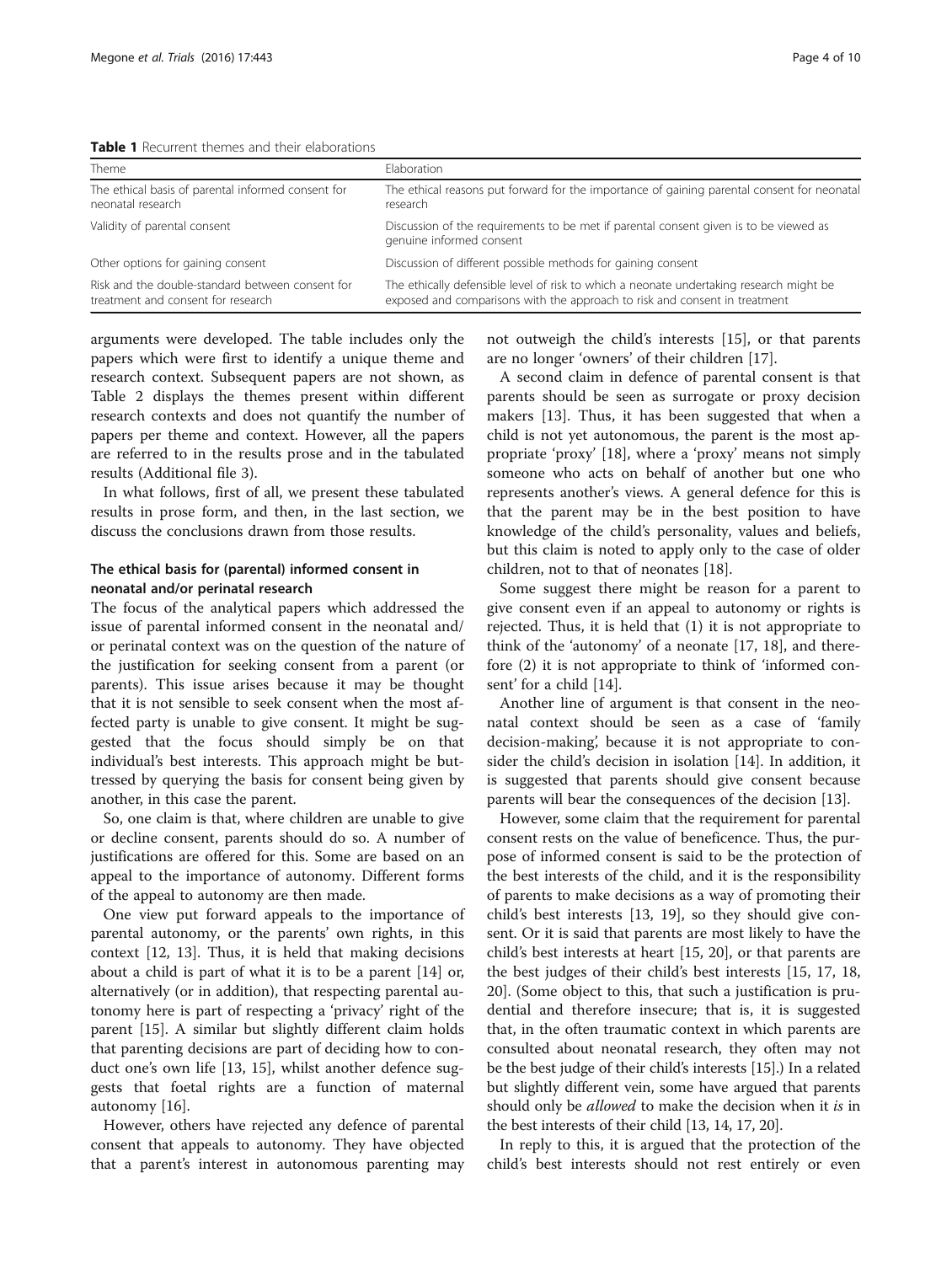<span id="page-3-0"></span>

| Theme                                                                                  | <b>Flaboration</b>                                                                                                                                                    |
|----------------------------------------------------------------------------------------|-----------------------------------------------------------------------------------------------------------------------------------------------------------------------|
| The ethical basis of parental informed consent for<br>neonatal research                | The ethical reasons put forward for the importance of gaining parental consent for neonatal<br>research                                                               |
| Validity of parental consent                                                           | Discussion of the requirements to be met if parental consent given is to be viewed as<br>genuine informed consent                                                     |
| Other options for gaining consent                                                      | Discussion of different possible methods for gaining consent                                                                                                          |
| Risk and the double-standard between consent for<br>treatment and consent for research | The ethically defensible level of risk to which a neonate undertaking research might be<br>exposed and comparisons with the approach to risk and consent in treatment |

arguments were developed. The table includes only the papers which were first to identify a unique theme and research context. Subsequent papers are not shown, as Table [2](#page-4-0) displays the themes present within different research contexts and does not quantify the number of papers per theme and context. However, all the papers are referred to in the results prose and in the tabulated results (Additional file [3\)](#page-8-0).

In what follows, first of all, we present these tabulated results in prose form, and then, in the last section, we discuss the conclusions drawn from those results.

#### The ethical basis for (parental) informed consent in neonatal and/or perinatal research

The focus of the analytical papers which addressed the issue of parental informed consent in the neonatal and/ or perinatal context was on the question of the nature of the justification for seeking consent from a parent (or parents). This issue arises because it may be thought that it is not sensible to seek consent when the most affected party is unable to give consent. It might be suggested that the focus should simply be on that individual's best interests. This approach might be buttressed by querying the basis for consent being given by another, in this case the parent.

So, one claim is that, where children are unable to give or decline consent, parents should do so. A number of justifications are offered for this. Some are based on an appeal to the importance of autonomy. Different forms of the appeal to autonomy are then made.

One view put forward appeals to the importance of parental autonomy, or the parents' own rights, in this context [\[12](#page-9-0), [13](#page-9-0)]. Thus, it is held that making decisions about a child is part of what it is to be a parent [[14\]](#page-9-0) or, alternatively (or in addition), that respecting parental autonomy here is part of respecting a 'privacy' right of the parent [\[15](#page-9-0)]. A similar but slightly different claim holds that parenting decisions are part of deciding how to conduct one's own life [[13, 15\]](#page-9-0), whilst another defence suggests that foetal rights are a function of maternal autonomy [[16\]](#page-9-0).

However, others have rejected any defence of parental consent that appeals to autonomy. They have objected that a parent's interest in autonomous parenting may

not outweigh the child's interests [[15](#page-9-0)], or that parents are no longer 'owners' of their children [\[17](#page-9-0)].

A second claim in defence of parental consent is that parents should be seen as surrogate or proxy decision makers [[13\]](#page-9-0). Thus, it has been suggested that when a child is not yet autonomous, the parent is the most appropriate 'proxy' [[18](#page-9-0)], where a 'proxy' means not simply someone who acts on behalf of another but one who represents another's views. A general defence for this is that the parent may be in the best position to have knowledge of the child's personality, values and beliefs, but this claim is noted to apply only to the case of older children, not to that of neonates [\[18](#page-9-0)].

Some suggest there might be reason for a parent to give consent even if an appeal to autonomy or rights is rejected. Thus, it is held that (1) it is not appropriate to think of the 'autonomy' of a neonate [\[17](#page-9-0), [18](#page-9-0)], and therefore (2) it is not appropriate to think of 'informed consent' for a child [\[14\]](#page-9-0).

Another line of argument is that consent in the neonatal context should be seen as a case of 'family decision-making', because it is not appropriate to consider the child's decision in isolation [[14\]](#page-9-0). In addition, it is suggested that parents should give consent because parents will bear the consequences of the decision [\[13\]](#page-9-0).

However, some claim that the requirement for parental consent rests on the value of beneficence. Thus, the purpose of informed consent is said to be the protection of the best interests of the child, and it is the responsibility of parents to make decisions as a way of promoting their child's best interests [\[13, 19](#page-9-0)], so they should give consent. Or it is said that parents are most likely to have the child's best interests at heart [\[15](#page-9-0), [20](#page-9-0)], or that parents are the best judges of their child's best interests [\[15](#page-9-0), [17, 18](#page-9-0), [20\]](#page-9-0). (Some object to this, that such a justification is prudential and therefore insecure; that is, it is suggested that, in the often traumatic context in which parents are consulted about neonatal research, they often may not be the best judge of their child's interests [[15\]](#page-9-0).) In a related but slightly different vein, some have argued that parents should only be *allowed* to make the decision when it is in the best interests of their child [\[13, 14](#page-9-0), [17](#page-9-0), [20\]](#page-9-0).

In reply to this, it is argued that the protection of the child's best interests should not rest entirely or even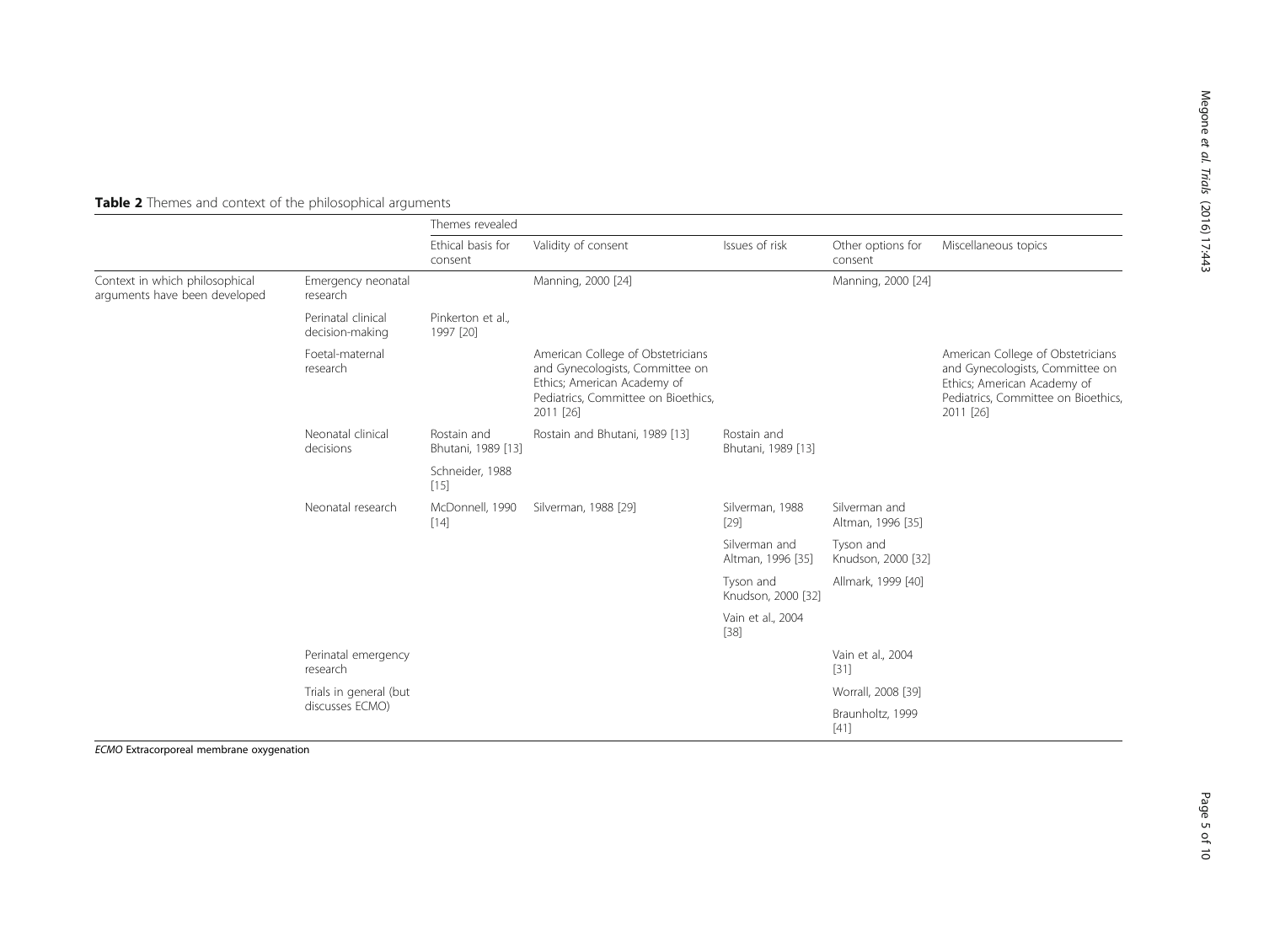## <span id="page-4-0"></span>Table 2 Themes and context of the philosophical arguments

|                                                                 |                                           | Themes revealed                   |                                                                                                                                                         |                                    |                                    |                                                                                                                                                         |  |  |
|-----------------------------------------------------------------|-------------------------------------------|-----------------------------------|---------------------------------------------------------------------------------------------------------------------------------------------------------|------------------------------------|------------------------------------|---------------------------------------------------------------------------------------------------------------------------------------------------------|--|--|
|                                                                 |                                           | Ethical basis for<br>consent      | Validity of consent                                                                                                                                     | Issues of risk                     | Other options for<br>consent       | Miscellaneous topics                                                                                                                                    |  |  |
| Context in which philosophical<br>arguments have been developed | Emergency neonatal<br>research            |                                   | Manning, 2000 [24]                                                                                                                                      |                                    | Manning, 2000 [24]                 |                                                                                                                                                         |  |  |
|                                                                 | Perinatal clinical<br>decision-making     | Pinkerton et al.,<br>1997 [20]    |                                                                                                                                                         |                                    |                                    |                                                                                                                                                         |  |  |
|                                                                 | Foetal-maternal<br>research               |                                   | American College of Obstetricians<br>and Gynecologists, Committee on<br>Ethics; American Academy of<br>Pediatrics, Committee on Bioethics,<br>2011 [26] |                                    |                                    | American College of Obstetricians<br>and Gynecologists, Committee on<br>Ethics; American Academy of<br>Pediatrics, Committee on Bioethics,<br>2011 [26] |  |  |
|                                                                 | Neonatal clinical<br>decisions            | Rostain and<br>Bhutani, 1989 [13] | Rostain and Bhutani, 1989 [13]                                                                                                                          | Rostain and<br>Bhutani, 1989 [13]  |                                    |                                                                                                                                                         |  |  |
|                                                                 |                                           | Schneider, 1988<br>$[15]$         |                                                                                                                                                         |                                    |                                    |                                                                                                                                                         |  |  |
|                                                                 | Neonatal research                         | McDonnell, 1990<br>$[14]$         | Silverman, 1988 [29]                                                                                                                                    | Silverman, 1988<br>$[29]$          | Silverman and<br>Altman, 1996 [35] |                                                                                                                                                         |  |  |
|                                                                 |                                           |                                   |                                                                                                                                                         | Silverman and<br>Altman, 1996 [35] | Tyson and<br>Knudson, 2000 [32]    |                                                                                                                                                         |  |  |
|                                                                 |                                           |                                   |                                                                                                                                                         | Tyson and<br>Knudson, 2000 [32]    | Allmark, 1999 [40]                 |                                                                                                                                                         |  |  |
|                                                                 |                                           |                                   |                                                                                                                                                         | Vain et al., 2004<br>$[38]$        |                                    |                                                                                                                                                         |  |  |
|                                                                 | Perinatal emergency<br>research           |                                   |                                                                                                                                                         |                                    | Vain et al., 2004<br>$[31]$        |                                                                                                                                                         |  |  |
|                                                                 | Trials in general (but<br>discusses ECMO) |                                   |                                                                                                                                                         |                                    | Worrall, 2008 [39]                 |                                                                                                                                                         |  |  |
|                                                                 |                                           |                                   |                                                                                                                                                         |                                    | Braunholtz, 1999<br>$[41]$         |                                                                                                                                                         |  |  |

ECMO Extracorporeal membrane oxygenation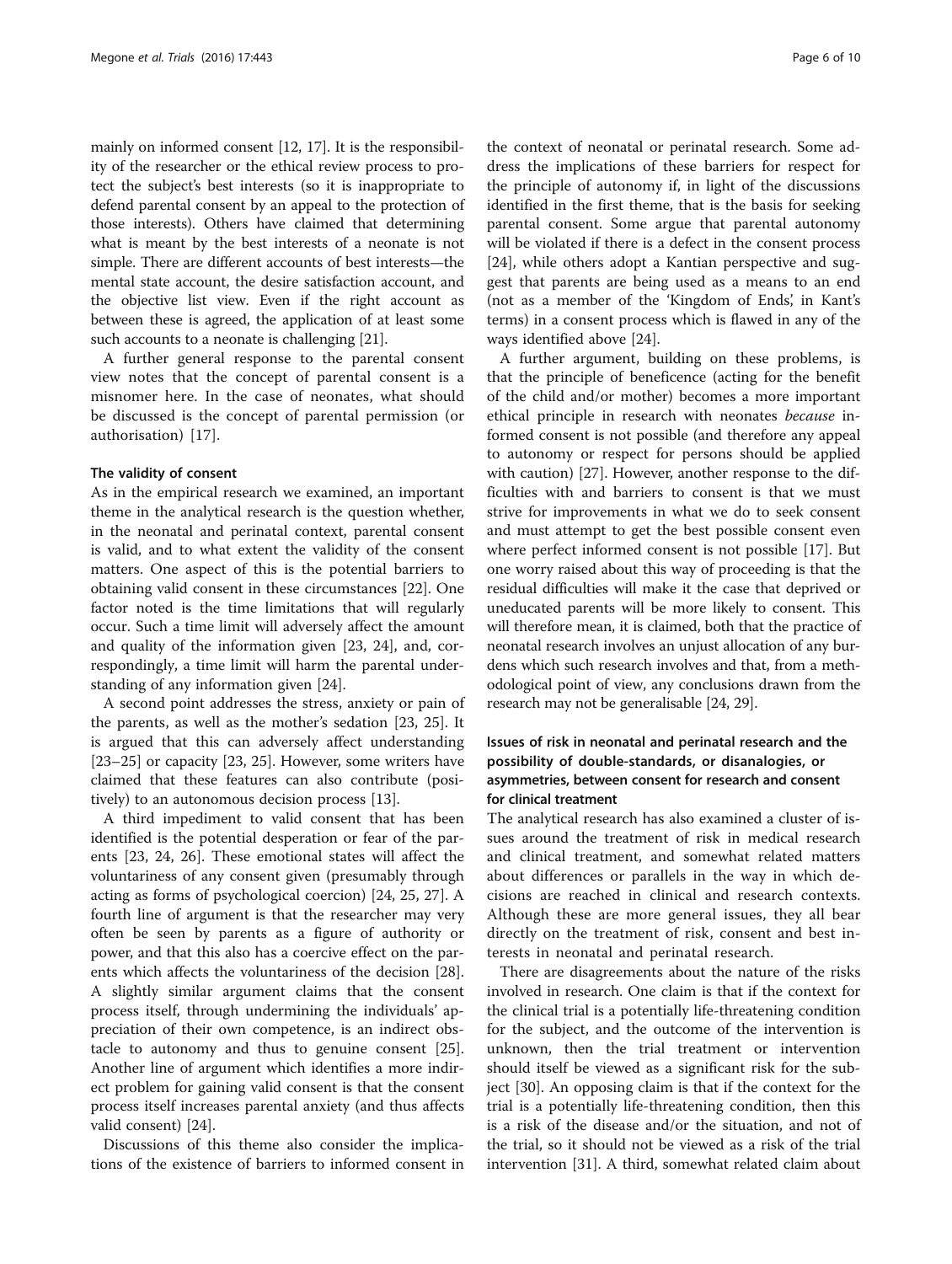mainly on informed consent [\[12, 17](#page-9-0)]. It is the responsibility of the researcher or the ethical review process to protect the subject's best interests (so it is inappropriate to defend parental consent by an appeal to the protection of those interests). Others have claimed that determining what is meant by the best interests of a neonate is not simple. There are different accounts of best interests—the mental state account, the desire satisfaction account, and the objective list view. Even if the right account as between these is agreed, the application of at least some such accounts to a neonate is challenging [[21](#page-9-0)].

A further general response to the parental consent view notes that the concept of parental consent is a misnomer here. In the case of neonates, what should be discussed is the concept of parental permission (or authorisation) [\[17](#page-9-0)].

#### The validity of consent

As in the empirical research we examined, an important theme in the analytical research is the question whether, in the neonatal and perinatal context, parental consent is valid, and to what extent the validity of the consent matters. One aspect of this is the potential barriers to obtaining valid consent in these circumstances [[22\]](#page-9-0). One factor noted is the time limitations that will regularly occur. Such a time limit will adversely affect the amount and quality of the information given [[23](#page-9-0), [24](#page-9-0)], and, correspondingly, a time limit will harm the parental understanding of any information given [\[24](#page-9-0)].

A second point addresses the stress, anxiety or pain of the parents, as well as the mother's sedation [[23](#page-9-0), [25](#page-9-0)]. It is argued that this can adversely affect understanding [[23](#page-9-0)–[25](#page-9-0)] or capacity [\[23](#page-9-0), [25](#page-9-0)]. However, some writers have claimed that these features can also contribute (positively) to an autonomous decision process [\[13](#page-9-0)].

A third impediment to valid consent that has been identified is the potential desperation or fear of the parents [[23, 24, 26\]](#page-9-0). These emotional states will affect the voluntariness of any consent given (presumably through acting as forms of psychological coercion) [\[24](#page-9-0), [25](#page-9-0), [27](#page-9-0)]. A fourth line of argument is that the researcher may very often be seen by parents as a figure of authority or power, and that this also has a coercive effect on the parents which affects the voluntariness of the decision [\[28](#page-9-0)]. A slightly similar argument claims that the consent process itself, through undermining the individuals' appreciation of their own competence, is an indirect obstacle to autonomy and thus to genuine consent [\[25](#page-9-0)]. Another line of argument which identifies a more indirect problem for gaining valid consent is that the consent process itself increases parental anxiety (and thus affects valid consent) [[24\]](#page-9-0).

Discussions of this theme also consider the implications of the existence of barriers to informed consent in

the context of neonatal or perinatal research. Some address the implications of these barriers for respect for the principle of autonomy if, in light of the discussions identified in the first theme, that is the basis for seeking parental consent. Some argue that parental autonomy will be violated if there is a defect in the consent process [[24\]](#page-9-0), while others adopt a Kantian perspective and suggest that parents are being used as a means to an end (not as a member of the 'Kingdom of Ends', in Kant's terms) in a consent process which is flawed in any of the ways identified above [[24\]](#page-9-0).

A further argument, building on these problems, is that the principle of beneficence (acting for the benefit of the child and/or mother) becomes a more important ethical principle in research with neonates because informed consent is not possible (and therefore any appeal to autonomy or respect for persons should be applied with caution) [\[27](#page-9-0)]. However, another response to the difficulties with and barriers to consent is that we must strive for improvements in what we do to seek consent and must attempt to get the best possible consent even where perfect informed consent is not possible [[17\]](#page-9-0). But one worry raised about this way of proceeding is that the residual difficulties will make it the case that deprived or uneducated parents will be more likely to consent. This will therefore mean, it is claimed, both that the practice of neonatal research involves an unjust allocation of any burdens which such research involves and that, from a methodological point of view, any conclusions drawn from the research may not be generalisable [[24, 29\]](#page-9-0).

### Issues of risk in neonatal and perinatal research and the possibility of double-standards, or disanalogies, or asymmetries, between consent for research and consent for clinical treatment

The analytical research has also examined a cluster of issues around the treatment of risk in medical research and clinical treatment, and somewhat related matters about differences or parallels in the way in which decisions are reached in clinical and research contexts. Although these are more general issues, they all bear directly on the treatment of risk, consent and best interests in neonatal and perinatal research.

There are disagreements about the nature of the risks involved in research. One claim is that if the context for the clinical trial is a potentially life-threatening condition for the subject, and the outcome of the intervention is unknown, then the trial treatment or intervention should itself be viewed as a significant risk for the subject [\[30](#page-9-0)]. An opposing claim is that if the context for the trial is a potentially life-threatening condition, then this is a risk of the disease and/or the situation, and not of the trial, so it should not be viewed as a risk of the trial intervention [\[31\]](#page-9-0). A third, somewhat related claim about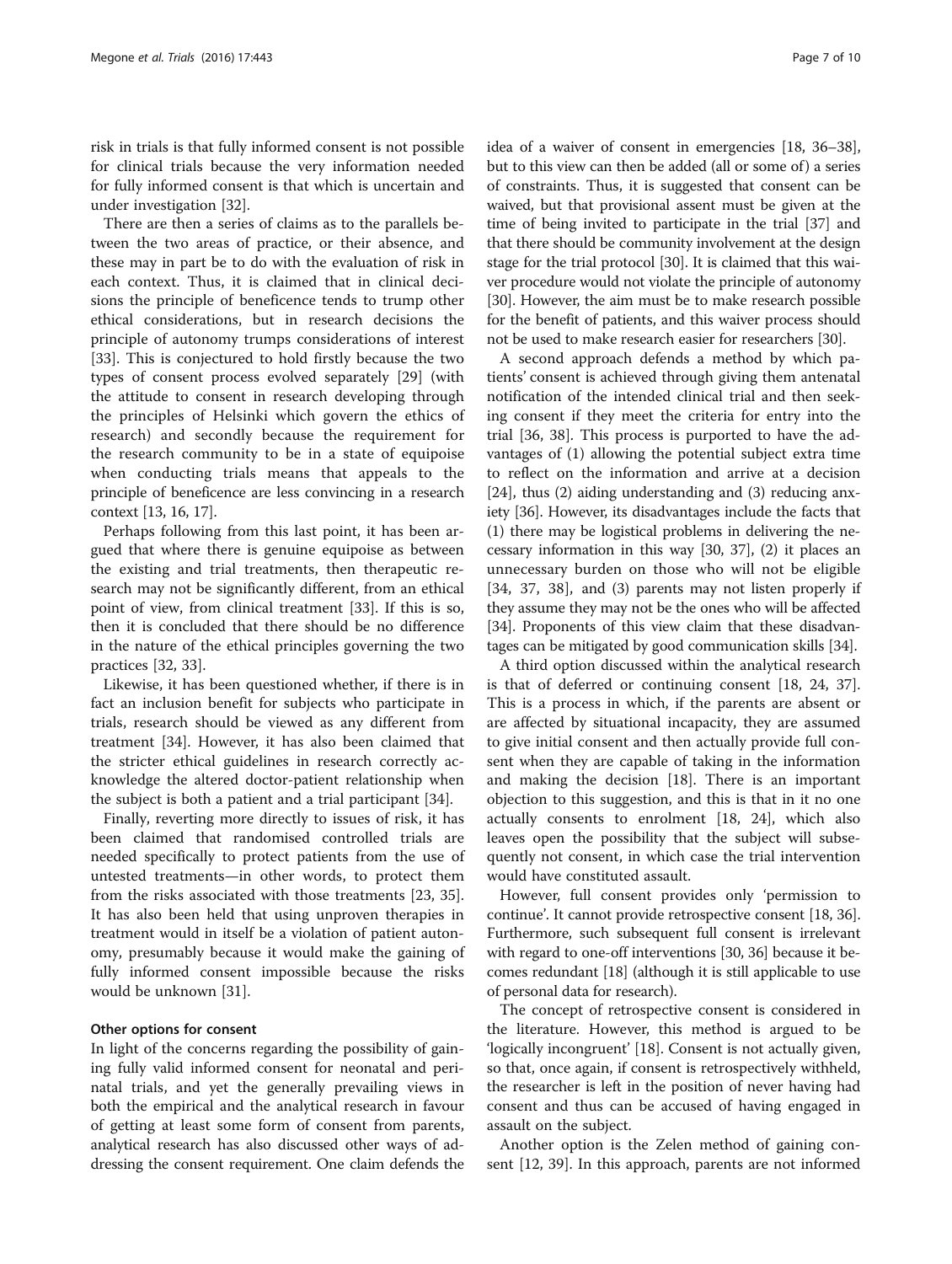risk in trials is that fully informed consent is not possible for clinical trials because the very information needed for fully informed consent is that which is uncertain and under investigation [[32](#page-9-0)].

There are then a series of claims as to the parallels between the two areas of practice, or their absence, and these may in part be to do with the evaluation of risk in each context. Thus, it is claimed that in clinical decisions the principle of beneficence tends to trump other ethical considerations, but in research decisions the principle of autonomy trumps considerations of interest [[33\]](#page-9-0). This is conjectured to hold firstly because the two types of consent process evolved separately [[29](#page-9-0)] (with the attitude to consent in research developing through the principles of Helsinki which govern the ethics of research) and secondly because the requirement for the research community to be in a state of equipoise when conducting trials means that appeals to the principle of beneficence are less convincing in a research context [\[13, 16](#page-9-0), [17\]](#page-9-0).

Perhaps following from this last point, it has been argued that where there is genuine equipoise as between the existing and trial treatments, then therapeutic research may not be significantly different, from an ethical point of view, from clinical treatment [[33\]](#page-9-0). If this is so, then it is concluded that there should be no difference in the nature of the ethical principles governing the two practices [[32, 33\]](#page-9-0).

Likewise, it has been questioned whether, if there is in fact an inclusion benefit for subjects who participate in trials, research should be viewed as any different from treatment [\[34](#page-9-0)]. However, it has also been claimed that the stricter ethical guidelines in research correctly acknowledge the altered doctor-patient relationship when the subject is both a patient and a trial participant [[34](#page-9-0)].

Finally, reverting more directly to issues of risk, it has been claimed that randomised controlled trials are needed specifically to protect patients from the use of untested treatments—in other words, to protect them from the risks associated with those treatments [\[23, 35](#page-9-0)]. It has also been held that using unproven therapies in treatment would in itself be a violation of patient autonomy, presumably because it would make the gaining of fully informed consent impossible because the risks would be unknown [[31\]](#page-9-0).

#### Other options for consent

In light of the concerns regarding the possibility of gaining fully valid informed consent for neonatal and perinatal trials, and yet the generally prevailing views in both the empirical and the analytical research in favour of getting at least some form of consent from parents, analytical research has also discussed other ways of addressing the consent requirement. One claim defends the idea of a waiver of consent in emergencies [\[18, 36](#page-9-0)–[38](#page-9-0)], but to this view can then be added (all or some of) a series of constraints. Thus, it is suggested that consent can be waived, but that provisional assent must be given at the time of being invited to participate in the trial [[37](#page-9-0)] and that there should be community involvement at the design stage for the trial protocol [[30](#page-9-0)]. It is claimed that this waiver procedure would not violate the principle of autonomy [[30](#page-9-0)]. However, the aim must be to make research possible for the benefit of patients, and this waiver process should not be used to make research easier for researchers [[30](#page-9-0)].

A second approach defends a method by which patients' consent is achieved through giving them antenatal notification of the intended clinical trial and then seeking consent if they meet the criteria for entry into the trial [\[36, 38\]](#page-9-0). This process is purported to have the advantages of (1) allowing the potential subject extra time to reflect on the information and arrive at a decision [[24\]](#page-9-0), thus (2) aiding understanding and (3) reducing anxiety [\[36\]](#page-9-0). However, its disadvantages include the facts that (1) there may be logistical problems in delivering the necessary information in this way [\[30](#page-9-0), [37\]](#page-9-0), (2) it places an unnecessary burden on those who will not be eligible [[34, 37, 38](#page-9-0)], and (3) parents may not listen properly if they assume they may not be the ones who will be affected [[34](#page-9-0)]. Proponents of this view claim that these disadvantages can be mitigated by good communication skills [[34](#page-9-0)].

A third option discussed within the analytical research is that of deferred or continuing consent [[18, 24, 37](#page-9-0)]. This is a process in which, if the parents are absent or are affected by situational incapacity, they are assumed to give initial consent and then actually provide full consent when they are capable of taking in the information and making the decision [[18\]](#page-9-0). There is an important objection to this suggestion, and this is that in it no one actually consents to enrolment [[18](#page-9-0), [24\]](#page-9-0), which also leaves open the possibility that the subject will subsequently not consent, in which case the trial intervention would have constituted assault.

However, full consent provides only 'permission to continue'. It cannot provide retrospective consent [\[18, 36](#page-9-0)]. Furthermore, such subsequent full consent is irrelevant with regard to one-off interventions [[30](#page-9-0), [36\]](#page-9-0) because it becomes redundant [\[18\]](#page-9-0) (although it is still applicable to use of personal data for research).

The concept of retrospective consent is considered in the literature. However, this method is argued to be 'logically incongruent' [\[18](#page-9-0)]. Consent is not actually given, so that, once again, if consent is retrospectively withheld, the researcher is left in the position of never having had consent and thus can be accused of having engaged in assault on the subject.

Another option is the Zelen method of gaining consent [[12, 39\]](#page-9-0). In this approach, parents are not informed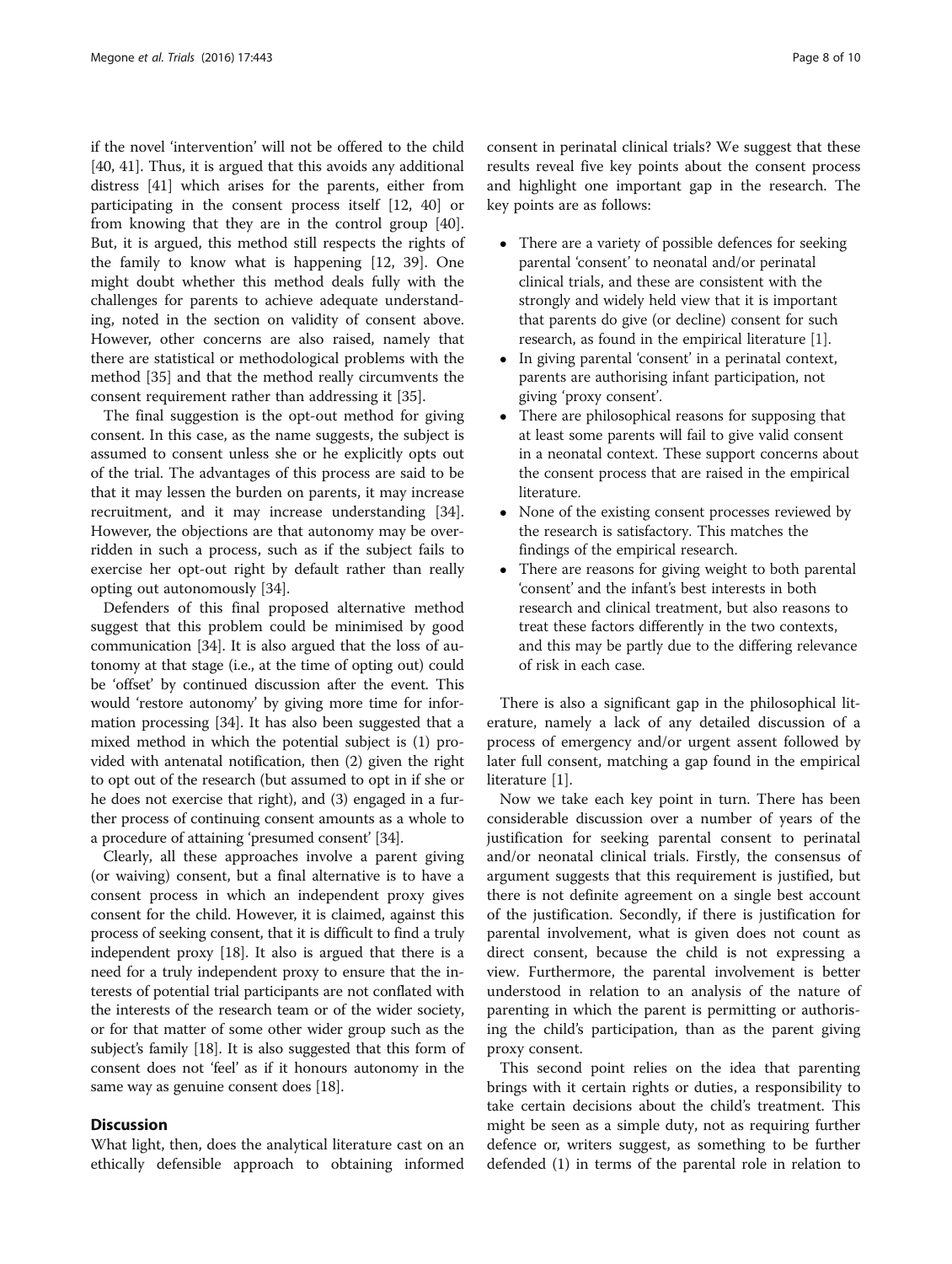if the novel 'intervention' will not be offered to the child [[40, 41\]](#page-9-0). Thus, it is argued that this avoids any additional distress [\[41](#page-9-0)] which arises for the parents, either from participating in the consent process itself [\[12, 40](#page-9-0)] or from knowing that they are in the control group [\[40](#page-9-0)]. But, it is argued, this method still respects the rights of the family to know what is happening [\[12, 39](#page-9-0)]. One might doubt whether this method deals fully with the challenges for parents to achieve adequate understanding, noted in the section on validity of consent above. However, other concerns are also raised, namely that there are statistical or methodological problems with the method [[35](#page-9-0)] and that the method really circumvents the consent requirement rather than addressing it [\[35](#page-9-0)].

The final suggestion is the opt-out method for giving consent. In this case, as the name suggests, the subject is assumed to consent unless she or he explicitly opts out of the trial. The advantages of this process are said to be that it may lessen the burden on parents, it may increase recruitment, and it may increase understanding [\[34](#page-9-0)]. However, the objections are that autonomy may be overridden in such a process, such as if the subject fails to exercise her opt-out right by default rather than really opting out autonomously [\[34](#page-9-0)].

Defenders of this final proposed alternative method suggest that this problem could be minimised by good communication [\[34\]](#page-9-0). It is also argued that the loss of autonomy at that stage (i.e., at the time of opting out) could be 'offset' by continued discussion after the event. This would 'restore autonomy' by giving more time for information processing [\[34](#page-9-0)]. It has also been suggested that a mixed method in which the potential subject is (1) provided with antenatal notification, then (2) given the right to opt out of the research (but assumed to opt in if she or he does not exercise that right), and (3) engaged in a further process of continuing consent amounts as a whole to a procedure of attaining 'presumed consent' [[34](#page-9-0)].

Clearly, all these approaches involve a parent giving (or waiving) consent, but a final alternative is to have a consent process in which an independent proxy gives consent for the child. However, it is claimed, against this process of seeking consent, that it is difficult to find a truly independent proxy [[18](#page-9-0)]. It also is argued that there is a need for a truly independent proxy to ensure that the interests of potential trial participants are not conflated with the interests of the research team or of the wider society, or for that matter of some other wider group such as the subject's family [\[18\]](#page-9-0). It is also suggested that this form of consent does not 'feel' as if it honours autonomy in the same way as genuine consent does [\[18](#page-9-0)].

#### **Discussion**

What light, then, does the analytical literature cast on an ethically defensible approach to obtaining informed consent in perinatal clinical trials? We suggest that these results reveal five key points about the consent process and highlight one important gap in the research. The key points are as follows:

- There are a variety of possible defences for seeking parental 'consent' to neonatal and/or perinatal clinical trials, and these are consistent with the strongly and widely held view that it is important that parents do give (or decline) consent for such research, as found in the empirical literature [\[1](#page-9-0)].
- In giving parental 'consent' in a perinatal context, parents are authorising infant participation, not giving 'proxy consent'.
- There are philosophical reasons for supposing that at least some parents will fail to give valid consent in a neonatal context. These support concerns about the consent process that are raised in the empirical literature.
- None of the existing consent processes reviewed by the research is satisfactory. This matches the findings of the empirical research.
- There are reasons for giving weight to both parental 'consent' and the infant's best interests in both research and clinical treatment, but also reasons to treat these factors differently in the two contexts, and this may be partly due to the differing relevance of risk in each case.

There is also a significant gap in the philosophical literature, namely a lack of any detailed discussion of a process of emergency and/or urgent assent followed by later full consent, matching a gap found in the empirical literature [\[1](#page-9-0)].

Now we take each key point in turn. There has been considerable discussion over a number of years of the justification for seeking parental consent to perinatal and/or neonatal clinical trials. Firstly, the consensus of argument suggests that this requirement is justified, but there is not definite agreement on a single best account of the justification. Secondly, if there is justification for parental involvement, what is given does not count as direct consent, because the child is not expressing a view. Furthermore, the parental involvement is better understood in relation to an analysis of the nature of parenting in which the parent is permitting or authorising the child's participation, than as the parent giving proxy consent.

This second point relies on the idea that parenting brings with it certain rights or duties, a responsibility to take certain decisions about the child's treatment. This might be seen as a simple duty, not as requiring further defence or, writers suggest, as something to be further defended (1) in terms of the parental role in relation to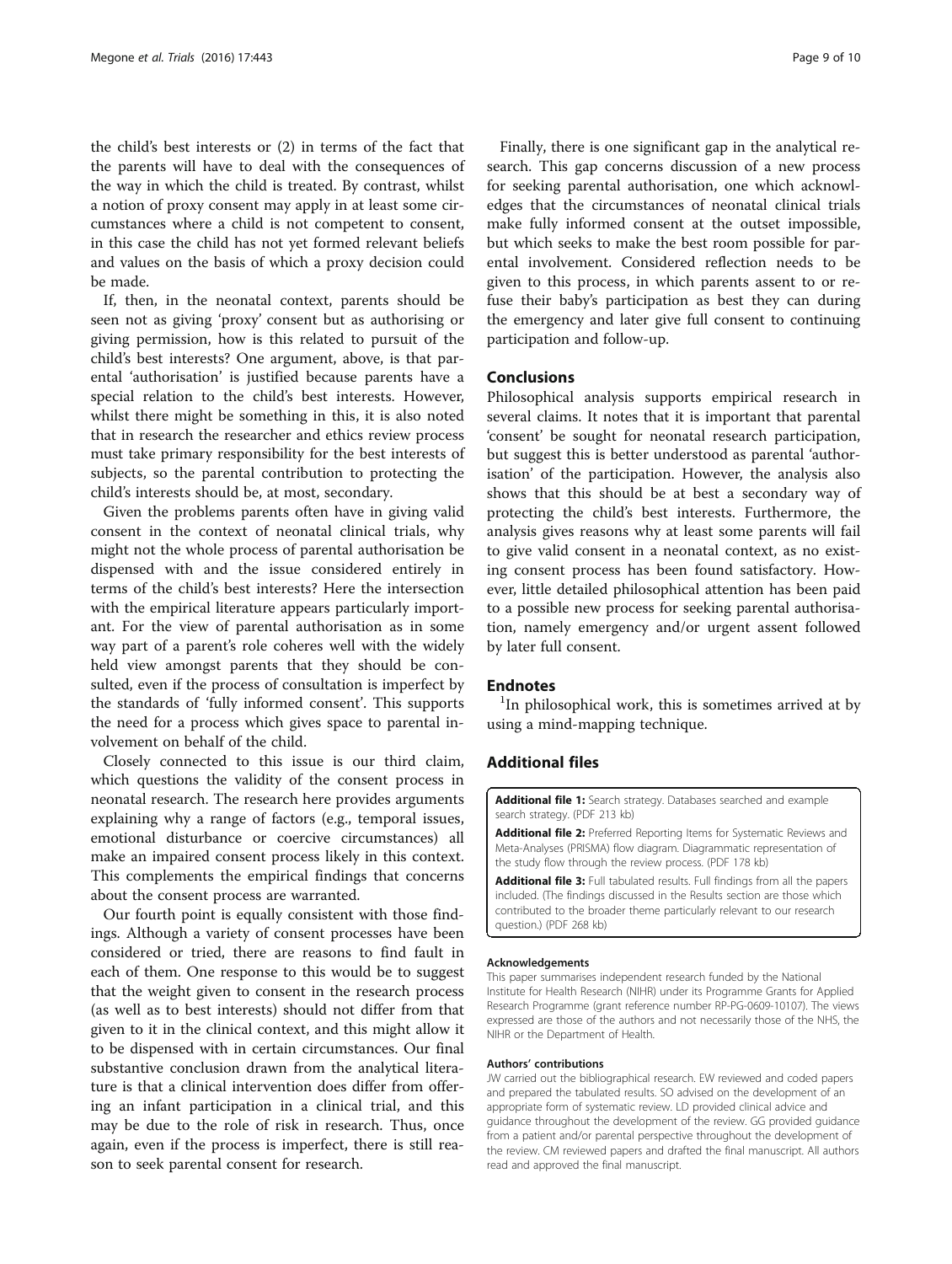<span id="page-8-0"></span>the child's best interests or (2) in terms of the fact that the parents will have to deal with the consequences of the way in which the child is treated. By contrast, whilst a notion of proxy consent may apply in at least some circumstances where a child is not competent to consent, in this case the child has not yet formed relevant beliefs and values on the basis of which a proxy decision could be made.

If, then, in the neonatal context, parents should be seen not as giving 'proxy' consent but as authorising or giving permission, how is this related to pursuit of the child's best interests? One argument, above, is that parental 'authorisation' is justified because parents have a special relation to the child's best interests. However, whilst there might be something in this, it is also noted that in research the researcher and ethics review process must take primary responsibility for the best interests of subjects, so the parental contribution to protecting the child's interests should be, at most, secondary.

Given the problems parents often have in giving valid consent in the context of neonatal clinical trials, why might not the whole process of parental authorisation be dispensed with and the issue considered entirely in terms of the child's best interests? Here the intersection with the empirical literature appears particularly important. For the view of parental authorisation as in some way part of a parent's role coheres well with the widely held view amongst parents that they should be consulted, even if the process of consultation is imperfect by the standards of 'fully informed consent'. This supports the need for a process which gives space to parental involvement on behalf of the child.

Closely connected to this issue is our third claim, which questions the validity of the consent process in neonatal research. The research here provides arguments explaining why a range of factors (e.g., temporal issues, emotional disturbance or coercive circumstances) all make an impaired consent process likely in this context. This complements the empirical findings that concerns about the consent process are warranted.

Our fourth point is equally consistent with those findings. Although a variety of consent processes have been considered or tried, there are reasons to find fault in each of them. One response to this would be to suggest that the weight given to consent in the research process (as well as to best interests) should not differ from that given to it in the clinical context, and this might allow it to be dispensed with in certain circumstances. Our final substantive conclusion drawn from the analytical literature is that a clinical intervention does differ from offering an infant participation in a clinical trial, and this may be due to the role of risk in research. Thus, once again, even if the process is imperfect, there is still reason to seek parental consent for research.

Finally, there is one significant gap in the analytical research. This gap concerns discussion of a new process for seeking parental authorisation, one which acknowledges that the circumstances of neonatal clinical trials make fully informed consent at the outset impossible, but which seeks to make the best room possible for parental involvement. Considered reflection needs to be given to this process, in which parents assent to or refuse their baby's participation as best they can during the emergency and later give full consent to continuing participation and follow-up.

#### Conclusions

Philosophical analysis supports empirical research in several claims. It notes that it is important that parental 'consent' be sought for neonatal research participation, but suggest this is better understood as parental 'authorisation' of the participation. However, the analysis also shows that this should be at best a secondary way of protecting the child's best interests. Furthermore, the analysis gives reasons why at least some parents will fail to give valid consent in a neonatal context, as no existing consent process has been found satisfactory. However, little detailed philosophical attention has been paid to a possible new process for seeking parental authorisation, namely emergency and/or urgent assent followed by later full consent.

#### **Endnotes**

<sup>1</sup>In philosophical work, this is sometimes arrived at by using a mind-mapping technique.

#### Additional files

[Additional file 1:](dx.doi.org/10.1186/s13063-016-1562-3) Search strategy. Databases searched and example search strategy. (PDF 213 kb)

[Additional file 2:](dx.doi.org/10.1186/s13063-016-1562-3) Preferred Reporting Items for Systematic Reviews and Meta-Analyses (PRISMA) flow diagram. Diagrammatic representation of the study flow through the review process. (PDF 178 kb)

[Additional file 3:](dx.doi.org/10.1186/s13063-016-1562-3) Full tabulated results. Full findings from all the papers included. (The findings discussed in the Results section are those which contributed to the broader theme particularly relevant to our research question.) (PDF 268 kb)

#### Acknowledgements

This paper summarises independent research funded by the National Institute for Health Research (NIHR) under its Programme Grants for Applied Research Programme (grant reference number RP-PG-0609-10107). The views expressed are those of the authors and not necessarily those of the NHS, the NIHR or the Department of Health.

#### Authors' contributions

JW carried out the bibliographical research. EW reviewed and coded papers and prepared the tabulated results. SO advised on the development of an appropriate form of systematic review. LD provided clinical advice and guidance throughout the development of the review. GG provided guidance from a patient and/or parental perspective throughout the development of the review. CM reviewed papers and drafted the final manuscript. All authors read and approved the final manuscript.